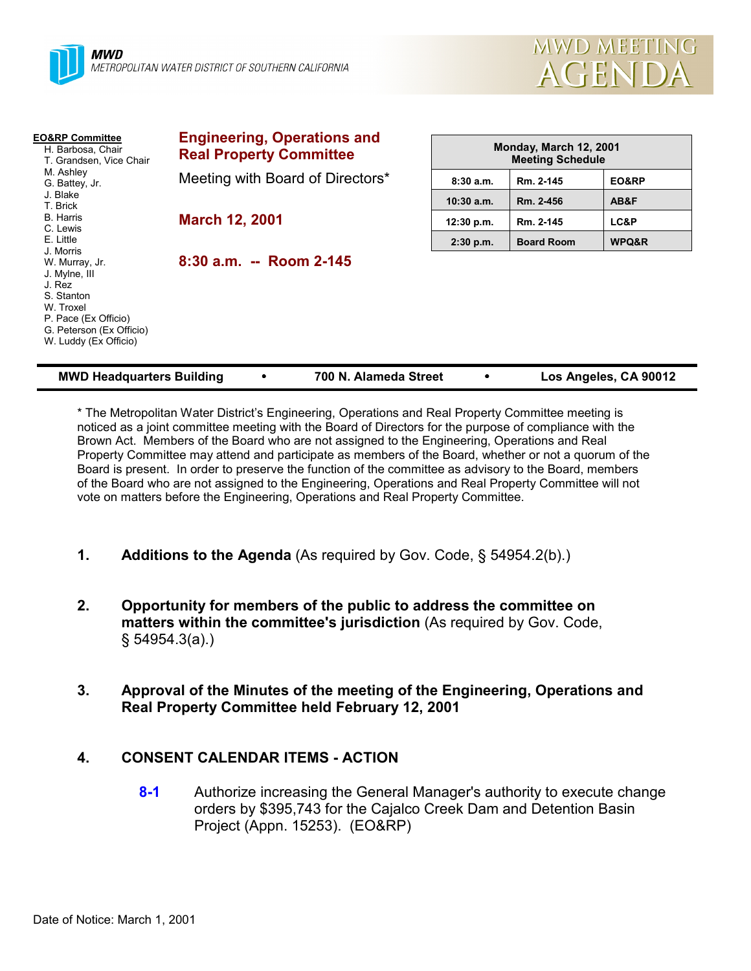



| <b>EO&amp;RP Committee</b><br>H. Barbosa, Chair<br>T. Grandsen, Vice Chair                                                                        | <b>Engineering, Operations and</b><br><b>Real Property Committee</b> |              | Monday, March 12, 2001<br><b>Meeting Schedule</b> |       |  |
|---------------------------------------------------------------------------------------------------------------------------------------------------|----------------------------------------------------------------------|--------------|---------------------------------------------------|-------|--|
| M. Ashley<br>G. Battey, Jr.                                                                                                                       | Meeting with Board of Directors*                                     | 8:30a.m.     | Rm. 2-145                                         | EO&RP |  |
| J. Blake<br>T. Brick                                                                                                                              |                                                                      | $10:30$ a.m. | Rm. 2-456                                         | AB&F  |  |
| <b>B.</b> Harris<br>C. Lewis                                                                                                                      | <b>March 12, 2001</b>                                                | 12:30 p.m.   | Rm. 2-145                                         | LC&P  |  |
| E. Little<br>J. Morris                                                                                                                            |                                                                      | $2:30$ p.m.  | <b>Board Room</b>                                 | WPQ&R |  |
| W. Murray, Jr.<br>J. Mylne, III<br>J. Rez<br>S. Stanton<br>W. Troxel<br>P. Pace (Ex Officio)<br>G. Peterson (Ex Officio)<br>W. Luddy (Ex Officio) | 8:30 a.m. -- Room 2-145                                              |              |                                                   |       |  |

| <b>MWD Headquarters Building</b> |  | 700 N. Alameda Street |  | Los Angeles, CA 90012 |
|----------------------------------|--|-----------------------|--|-----------------------|
|----------------------------------|--|-----------------------|--|-----------------------|

\* The Metropolitan Water District's Engineering, Operations and Real Property Committee meeting is noticed as a joint committee meeting with the Board of Directors for the purpose of compliance with the Brown Act. Members of the Board who are not assigned to the Engineering, Operations and Real Property Committee may attend and participate as members of the Board, whether or not a quorum of the Board is present. In order to preserve the function of the committee as advisory to the Board, members of the Board who are not assigned to the Engineering, Operations and Real Property Committee will not vote on matters before the Engineering, Operations and Real Property Committee.

- **1. Additions to the Agenda** (As required by Gov. Code, § 54954.2(b).)
- **2. Opportunity for members of the public to address the committee on matters within the committee's jurisdiction** (As required by Gov. Code, § 54954.3(a).)
- **3. Approval of the Minutes of the meeting of the Engineering, Operations and Real Property Committee held February 12, 2001**

### **4. CONSENT CALENDAR ITEMS - ACTION**

**8-1** Authorize increasing the General Manager's authority to execute change orders by \$395,743 for the Cajalco Creek Dam and Detention Basin Project (Appn. 15253). (EO&RP)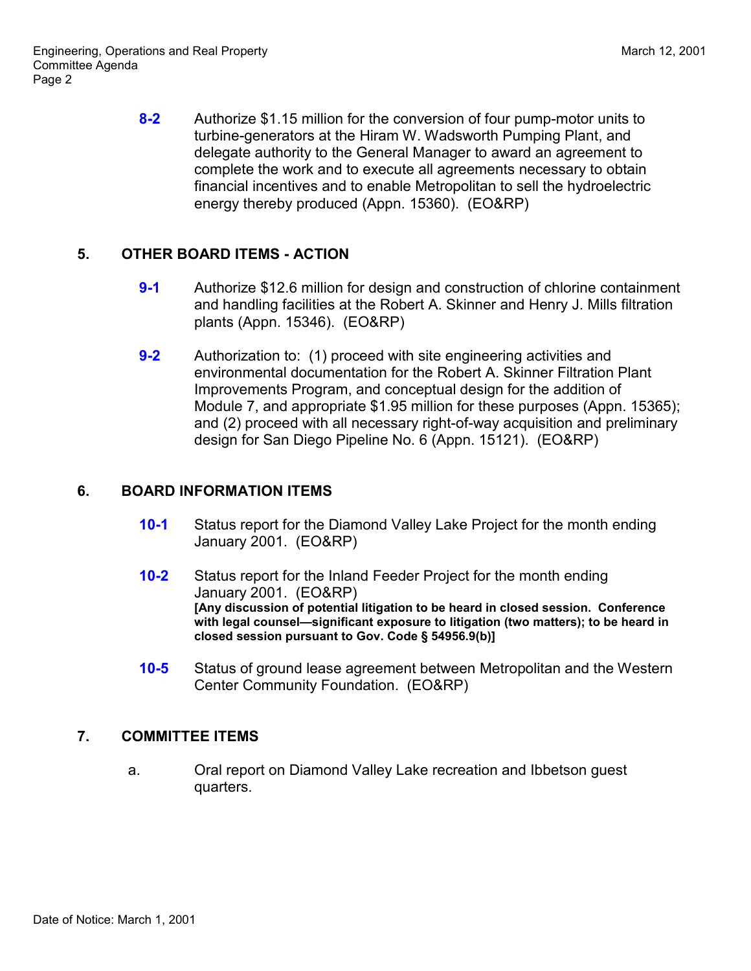**8-2** Authorize \$1.15 million for the conversion of four pump-motor units to turbine-generators at the Hiram W. Wadsworth Pumping Plant, and delegate authority to the General Manager to award an agreement to complete the work and to execute all agreements necessary to obtain financial incentives and to enable Metropolitan to sell the hydroelectric energy thereby produced (Appn. 15360). (EO&RP)

## **5. OTHER BOARD ITEMS - ACTION**

- **9-1** Authorize \$12.6 million for design and construction of chlorine containment and handling facilities at the Robert A. Skinner and Henry J. Mills filtration plants (Appn. 15346). (EO&RP)
- **9-2** Authorization to: (1) proceed with site engineering activities and environmental documentation for the Robert A. Skinner Filtration Plant Improvements Program, and conceptual design for the addition of Module 7, and appropriate \$1.95 million for these purposes (Appn. 15365); and (2) proceed with all necessary right-of-way acquisition and preliminary design for San Diego Pipeline No. 6 (Appn. 15121). (EO&RP)

# **6. BOARD INFORMATION ITEMS**

- **10-1** Status report for the Diamond Valley Lake Project for the month ending January 2001. (EO&RP)
- **10-2** Status report for the Inland Feeder Project for the month ending January 2001. (EO&RP) **[Any discussion of potential litigation to be heard in closed session. Conference with legal counsel—significant exposure to litigation (two matters); to be heard in closed session pursuant to Gov. Code § 54956.9(b)]**
- **10-5** Status of ground lease agreement between Metropolitan and the Western Center Community Foundation. (EO&RP)

## **7. COMMITTEE ITEMS**

a. Oral report on Diamond Valley Lake recreation and Ibbetson guest quarters.